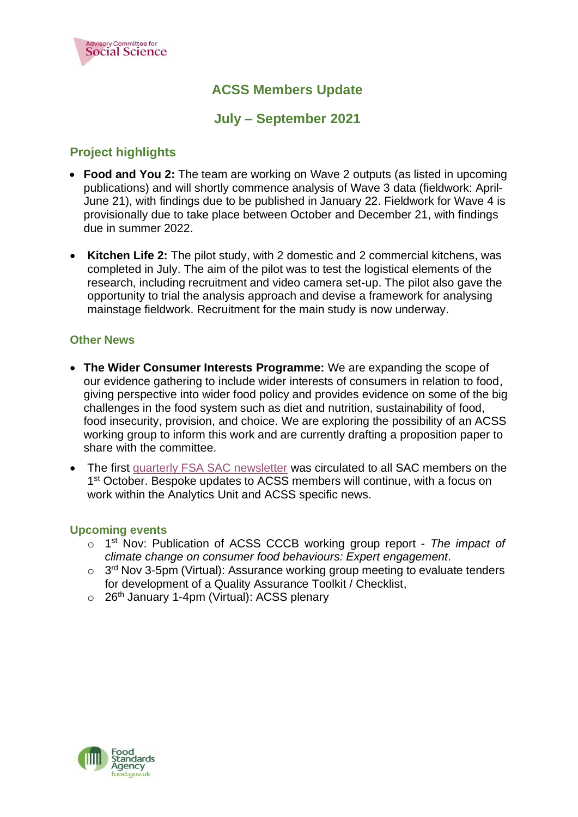

# **ACSS Members Update**

# **July – September 2021**

# **Project highlights**

- **[Food and You](https://www.food.gov.uk/news-alerts/news/introducing-food-and-you-2) 2:** The team are working on Wave 2 outputs (as listed in upcoming publications) and will shortly commence analysis of Wave 3 data (fieldwork: April-June 21), with findings due to be published in January 22. Fieldwork for Wave 4 is provisionally due to take place between October and December 21, with findings due in summer 2022.
- **Kitchen Life 2:** The pilot study, with 2 domestic and 2 commercial kitchens, was completed in July. The aim of the pilot was to test the logistical elements of the research, including recruitment and video camera set-up. The pilot also gave the opportunity to trial the analysis approach and devise a framework for analysing mainstage fieldwork. Recruitment for the main study is now underway.

## **Other News**

- **The Wider Consumer Interests Programme:** We are expanding the scope of our evidence gathering to include wider interests of consumers in relation to food, giving perspective into wider food policy and provides evidence on some of the big challenges in the food system such as diet and nutrition, sustainability of food, food insecurity, provision, and choice. We are exploring the possibility of an ACSS working group to inform this work and are currently drafting a proposition paper to share with the committee.
- The first [quarterly FSA SAC newsletter](https://sac.food.gov.uk/October%202021%20Newsletter) was circulated to all SAC members on the 1<sup>st</sup> October. Bespoke updates to ACSS members will continue, with a focus on work within the Analytics Unit and ACSS specific news.

#### **Upcoming events**

- o 1 st Nov: Publication of ACSS CCCB working group report *The impact of climate change on consumer food behaviours: Expert engagement.*
- $\circ$  3<sup>rd</sup> Nov 3-5pm (Virtual): Assurance working group meeting to evaluate tenders for development of a Quality Assurance Toolkit / Checklist,
- $\circ$  26<sup>th</sup> January 1-4pm (Virtual): ACSS plenary

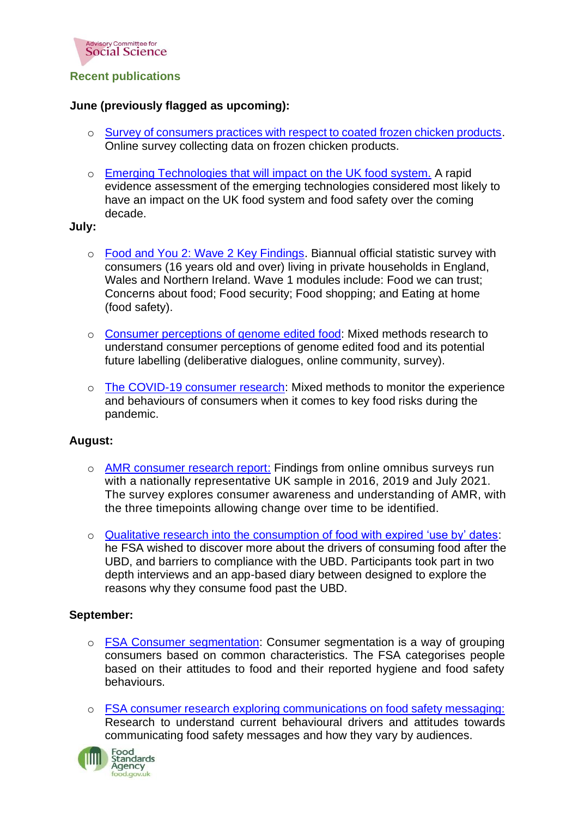

## **Recent publications**

## **June (previously flagged as upcoming):**

- o [Survey of consumers practices with respect to coated frozen chicken products.](https://www.food.gov.uk/research/foodborne-diseases/survey-of-consumer-practices-with-respect-to-coated-frozen-chicken-products) Online survey collecting data on frozen chicken products.
- o [Emerging Technologies that will impact on the UK food system.](https://www.food.gov.uk/research/research-projects/emerging-technologies-that-will-impact-on-the-uk-food-system) A rapid evidence assessment of the emerging technologies considered most likely to have an impact on the UK food system and food safety over the coming decade.

**July:**

- o [Food and You 2: Wave 2 Key Findings.](https://www.food.gov.uk/research/food-and-you-2/food-and-you-2-wave-2) Biannual official statistic survey with consumers (16 years old and over) living in private households in England, Wales and Northern Ireland. Wave 1 modules include: Food we can trust; Concerns about food; Food security; Food shopping; and Eating at home (food safety).
- o [Consumer perceptions of genome edited food:](https://www.food.gov.uk/research/research-projects/consumer-perceptions-of-genome-edited-food) Mixed methods research to understand consumer perceptions of genome edited food and its potential future labelling (deliberative dialogues, online community, survey).
- o [The COVID-19 consumer research:](https://www.food.gov.uk/research/research-projects/the-covid-19-consumer-research) Mixed methods to monitor the experience and behaviours of consumers when it comes to key food risks during the pandemic.

#### **August:**

- o [AMR consumer research report:](https://www.food.gov.uk/research/research-projects/amr-consumer-research-report) Findings from online omnibus surveys run with a nationally representative UK sample in 2016, 2019 and July 2021. The survey explores consumer awareness and understanding of AMR, with the three timepoints allowing change over time to be identified.
- o [Qualitative research into the consumption of food with expired 'use by' dates:](https://www.food.gov.uk/research/research-projects/qualitative-research-into-the-consumption-of-food-with-expired-use-by-dates) he FSA wished to discover more about the drivers of consuming food after the UBD, and barriers to compliance with the UBD. Participants took part in two depth interviews and an app-based diary between designed to explore the reasons why they consume food past the UBD.

#### **September:**

- o [FSA Consumer segmentation:](https://www.food.gov.uk/research/research-projects/fsa-consumer-segmentation) Consumer segmentation is a way of grouping consumers based on common characteristics. The FSA categorises people based on their attitudes to food and their reported hygiene and food safety behaviours.
- o [FSA consumer research exploring communications on food safety messaging:](https://www.food.gov.uk/research/research-projects/fsa-consumer-research-to-explore-communications-on-food-safety-messaging) Research to understand current behavioural drivers and attitudes towards communicating food safety messages and how they vary by audiences.